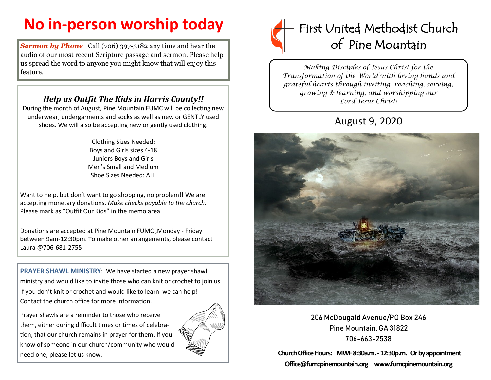## **No in-person worship today**

**Sermon by Phone** Call (706) 397-3182 any time and hear the audio of our most recent Scripture passage and sermon. Please help us spread the word to anyone you might know that will enjoy this feature.

## *Help us Outfit The Kids in Harris County!!*

During the month of August, Pine Mountain FUMC will be collecting new underwear, undergarments and socks as well as new or GENTLY used shoes. We will also be accepting new or gently used clothing.

> Clothing Sizes Needed: Boys and Girls sizes 4-18 Juniors Boys and Girls Men's Small and Medium Shoe Sizes Needed: ALL

Want to help, but don't want to go shopping, no problem!! We are accepting monetary donations. *Make checks payable to the church.*  Please mark as "Outfit Our Kids" in the memo area.

Donations are accepted at Pine Mountain FUMC ,Monday - Friday between 9am-12:30pm. To make other arrangements, please contact Laura @706-681-2755

**PRAYER SHAWL MINISTRY**: We have started a new prayer shawl ministry and would like to invite those who can knit or crochet to join us. If you don't knit or crochet and would like to learn, we can help! Contact the church office for more information.

Prayer shawls are a reminder to those who receive them, either during difficult times or times of celebration, that our church remains in prayer for them. If you know of someone in our church/community who would need one, please let us know.





*Making Disciples of Jesus Christ for the Transformation of the World with loving hands and grateful hearts through inviting, reaching, serving, growing & learning, and worshipping our Lord Jesus Christ!* 

## August 9, 2020



206 McDougald Avenue/PO Box 246 Pine Mountain, GA 31822 706-663-2538

**Church Office Hours: MWF 8:30a.m. -12:30p.m. Or by appointment Office@fumcpinemountain.org www.fumcpinemountain.org**